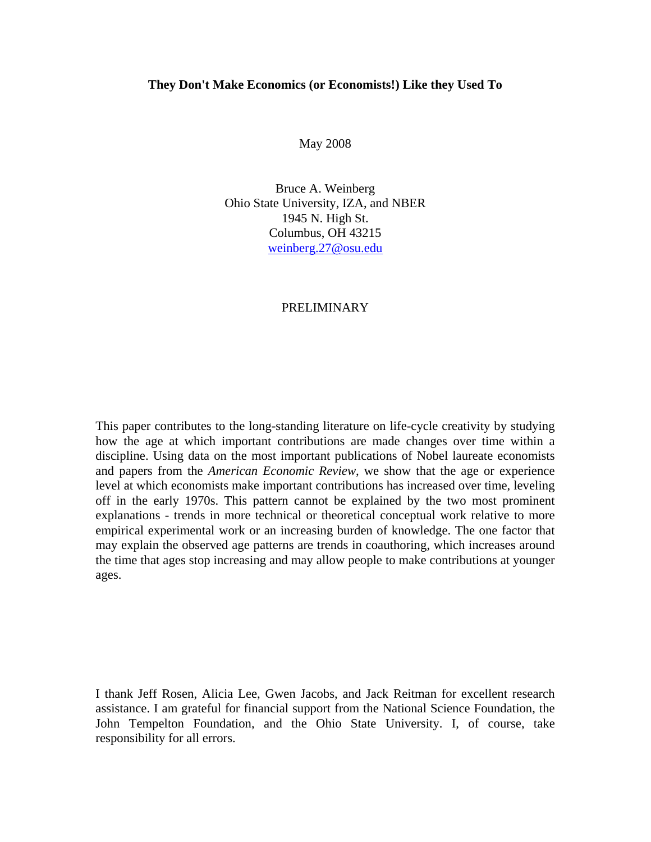#### **They Don't Make Economics (or Economists!) Like they Used To**

May 2008

Bruce A. Weinberg Ohio State University, IZA, and NBER 1945 N. High St. Columbus, OH 43215 weinberg.27@osu.edu

#### PRELIMINARY

This paper contributes to the long-standing literature on life-cycle creativity by studying how the age at which important contributions are made changes over time within a discipline. Using data on the most important publications of Nobel laureate economists and papers from the *American Economic Review*, we show that the age or experience level at which economists make important contributions has increased over time, leveling off in the early 1970s. This pattern cannot be explained by the two most prominent explanations - trends in more technical or theoretical conceptual work relative to more empirical experimental work or an increasing burden of knowledge. The one factor that may explain the observed age patterns are trends in coauthoring, which increases around the time that ages stop increasing and may allow people to make contributions at younger ages.

I thank Jeff Rosen, Alicia Lee, Gwen Jacobs, and Jack Reitman for excellent research assistance. I am grateful for financial support from the National Science Foundation, the John Tempelton Foundation, and the Ohio State University. I, of course, take responsibility for all errors.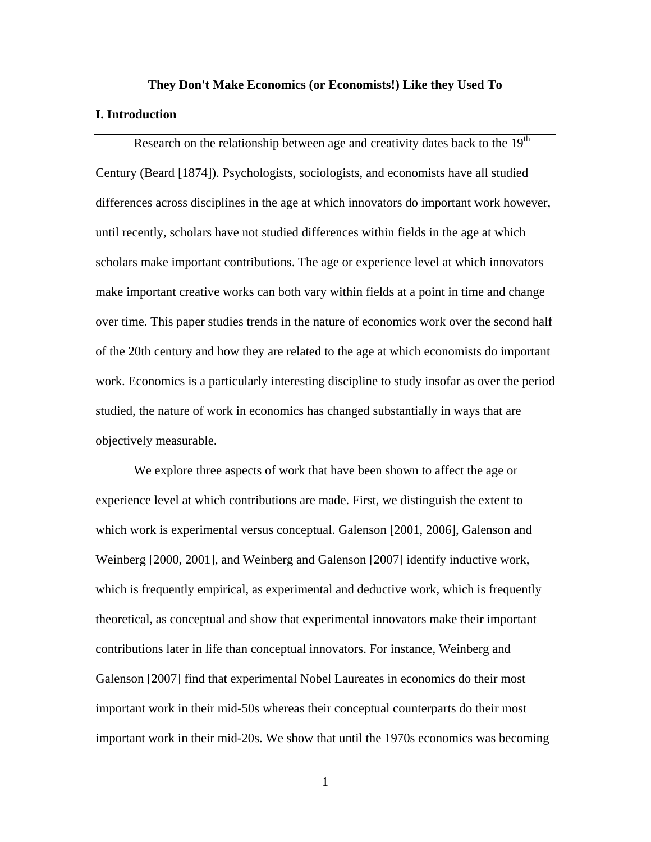# **They Don't Make Economics (or Economists!) Like they Used To I. Introduction**

Research on the relationship between age and creativity dates back to the  $19<sup>th</sup>$ Century (Beard [1874]). Psychologists, sociologists, and economists have all studied differences across disciplines in the age at which innovators do important work however, until recently, scholars have not studied differences within fields in the age at which scholars make important contributions. The age or experience level at which innovators make important creative works can both vary within fields at a point in time and change over time. This paper studies trends in the nature of economics work over the second half of the 20th century and how they are related to the age at which economists do important work. Economics is a particularly interesting discipline to study insofar as over the period studied, the nature of work in economics has changed substantially in ways that are objectively measurable.

We explore three aspects of work that have been shown to affect the age or experience level at which contributions are made. First, we distinguish the extent to which work is experimental versus conceptual. Galenson [2001, 2006], Galenson and Weinberg [2000, 2001], and Weinberg and Galenson [2007] identify inductive work, which is frequently empirical, as experimental and deductive work, which is frequently theoretical, as conceptual and show that experimental innovators make their important contributions later in life than conceptual innovators. For instance, Weinberg and Galenson [2007] find that experimental Nobel Laureates in economics do their most important work in their mid-50s whereas their conceptual counterparts do their most important work in their mid-20s. We show that until the 1970s economics was becoming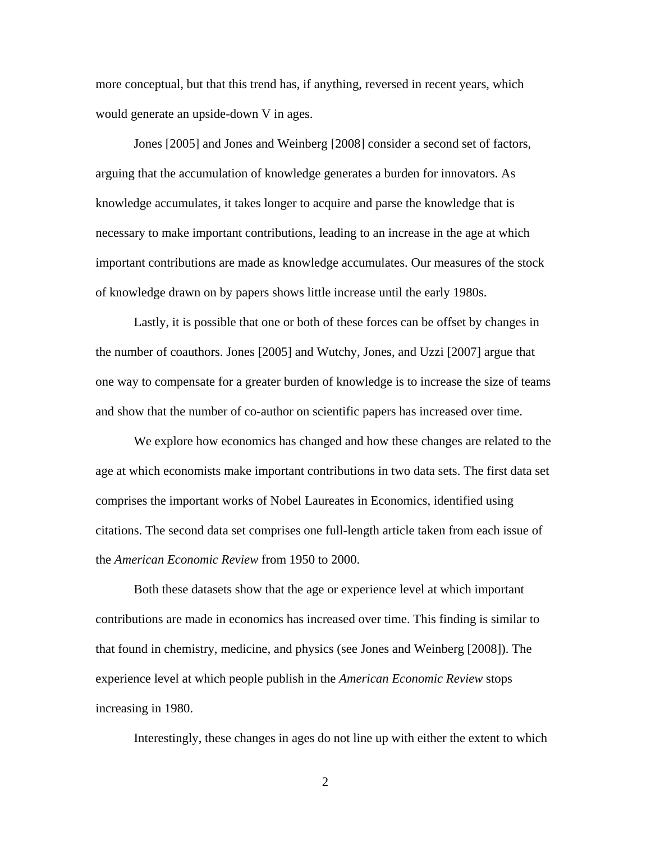more conceptual, but that this trend has, if anything, reversed in recent years, which would generate an upside-down V in ages.

Jones [2005] and Jones and Weinberg [2008] consider a second set of factors, arguing that the accumulation of knowledge generates a burden for innovators. As knowledge accumulates, it takes longer to acquire and parse the knowledge that is necessary to make important contributions, leading to an increase in the age at which important contributions are made as knowledge accumulates. Our measures of the stock of knowledge drawn on by papers shows little increase until the early 1980s.

Lastly, it is possible that one or both of these forces can be offset by changes in the number of coauthors. Jones [2005] and Wutchy, Jones, and Uzzi [2007] argue that one way to compensate for a greater burden of knowledge is to increase the size of teams and show that the number of co-author on scientific papers has increased over time.

We explore how economics has changed and how these changes are related to the age at which economists make important contributions in two data sets. The first data set comprises the important works of Nobel Laureates in Economics, identified using citations. The second data set comprises one full-length article taken from each issue of the *American Economic Review* from 1950 to 2000.

Both these datasets show that the age or experience level at which important contributions are made in economics has increased over time. This finding is similar to that found in chemistry, medicine, and physics (see Jones and Weinberg [2008]). The experience level at which people publish in the *American Economic Review* stops increasing in 1980.

Interestingly, these changes in ages do not line up with either the extent to which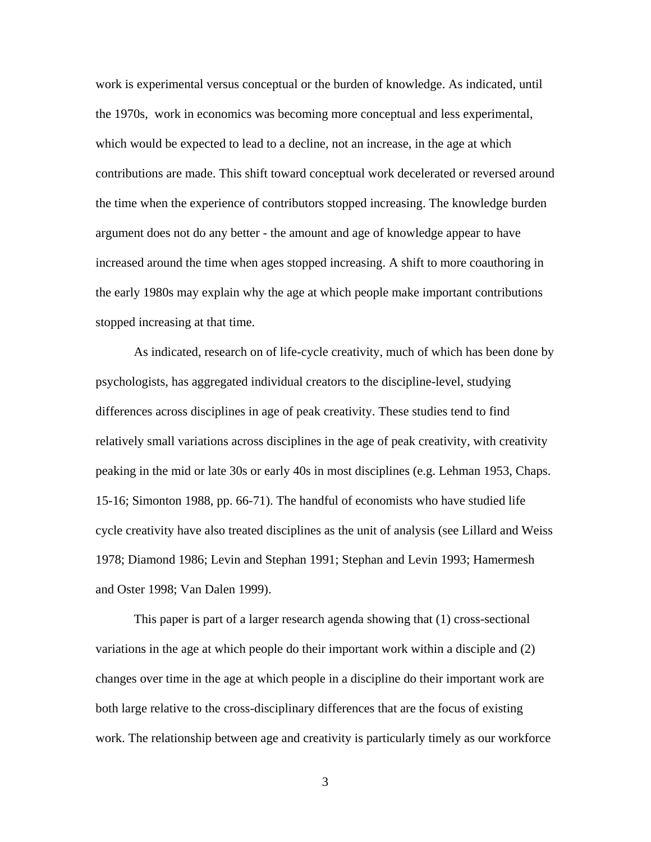work is experimental versus conceptual or the burden of knowledge. As indicated, until the 1970s, work in economics was becoming more conceptual and less experimental, which would be expected to lead to a decline, not an increase, in the age at which contributions are made. This shift toward conceptual work decelerated or reversed around the time when the experience of contributors stopped increasing. The knowledge burden argument does not do any better - the amount and age of knowledge appear to have increased around the time when ages stopped increasing. A shift to more coauthoring in the early 1980s may explain why the age at which people make important contributions stopped increasing at that time.

As indicated, research on of life-cycle creativity, much of which has been done by psychologists, has aggregated individual creators to the discipline-level, studying differences across disciplines in age of peak creativity. These studies tend to find relatively small variations across disciplines in the age of peak creativity, with creativity peaking in the mid or late 30s or early 40s in most disciplines (e.g. Lehman 1953, Chaps. 15-16; Simonton 1988, pp. 66-71). The handful of economists who have studied life cycle creativity have also treated disciplines as the unit of analysis (see Lillard and Weiss 1978; Diamond 1986; Levin and Stephan 1991; Stephan and Levin 1993; Hamermesh and Oster 1998; Van Dalen 1999).

This paper is part of a larger research agenda showing that (1) cross-sectional variations in the age at which people do their important work within a disciple and (2) changes over time in the age at which people in a discipline do their important work are both large relative to the cross-disciplinary differences that are the focus of existing work. The relationship between age and creativity is particularly timely as our workforce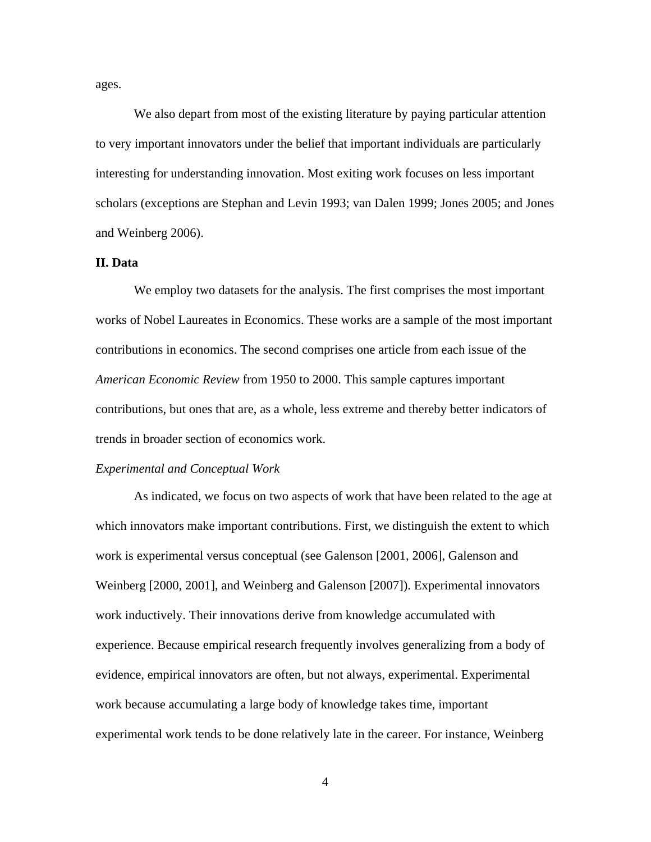ages.

We also depart from most of the existing literature by paying particular attention to very important innovators under the belief that important individuals are particularly interesting for understanding innovation. Most exiting work focuses on less important scholars (exceptions are Stephan and Levin 1993; van Dalen 1999; Jones 2005; and Jones and Weinberg 2006).

## **II. Data**

We employ two datasets for the analysis. The first comprises the most important works of Nobel Laureates in Economics. These works are a sample of the most important contributions in economics. The second comprises one article from each issue of the *American Economic Review* from 1950 to 2000. This sample captures important contributions, but ones that are, as a whole, less extreme and thereby better indicators of trends in broader section of economics work.

#### *Experimental and Conceptual Work*

As indicated, we focus on two aspects of work that have been related to the age at which innovators make important contributions. First, we distinguish the extent to which work is experimental versus conceptual (see Galenson [2001, 2006], Galenson and Weinberg [2000, 2001], and Weinberg and Galenson [2007]). Experimental innovators work inductively. Their innovations derive from knowledge accumulated with experience. Because empirical research frequently involves generalizing from a body of evidence, empirical innovators are often, but not always, experimental. Experimental work because accumulating a large body of knowledge takes time, important experimental work tends to be done relatively late in the career. For instance, Weinberg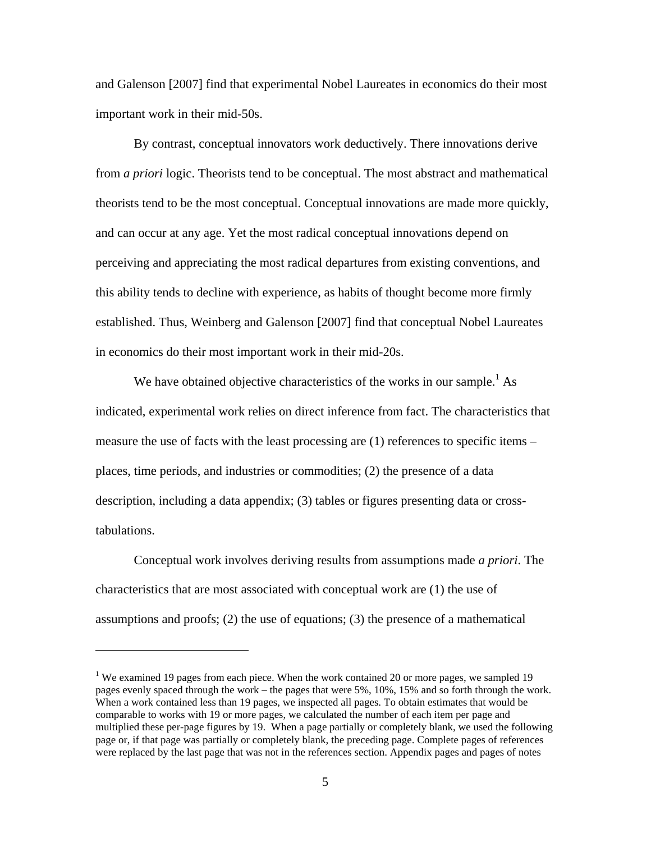and Galenson [2007] find that experimental Nobel Laureates in economics do their most important work in their mid-50s.

By contrast, conceptual innovators work deductively. There innovations derive from *a priori* logic. Theorists tend to be conceptual. The most abstract and mathematical theorists tend to be the most conceptual. Conceptual innovations are made more quickly, and can occur at any age. Yet the most radical conceptual innovations depend on perceiving and appreciating the most radical departures from existing conventions, and this ability tends to decline with experience, as habits of thought become more firmly established. Thus, Weinberg and Galenson [2007] find that conceptual Nobel Laureates in economics do their most important work in their mid-20s.

We have obtained objective characteristics of the works in our sample.<sup>1</sup> As indicated, experimental work relies on direct inference from fact. The characteristics that measure the use of facts with the least processing are (1) references to specific items – places, time periods, and industries or commodities; (2) the presence of a data description, including a data appendix; (3) tables or figures presenting data or crosstabulations.

Conceptual work involves deriving results from assumptions made *a priori*. The characteristics that are most associated with conceptual work are (1) the use of assumptions and proofs; (2) the use of equations; (3) the presence of a mathematical

 $\overline{a}$ 

<sup>&</sup>lt;sup>1</sup> We examined 19 pages from each piece. When the work contained 20 or more pages, we sampled 19 pages evenly spaced through the work – the pages that were 5%, 10%, 15% and so forth through the work. When a work contained less than 19 pages, we inspected all pages. To obtain estimates that would be comparable to works with 19 or more pages, we calculated the number of each item per page and multiplied these per-page figures by 19. When a page partially or completely blank, we used the following page or, if that page was partially or completely blank, the preceding page. Complete pages of references were replaced by the last page that was not in the references section. Appendix pages and pages of notes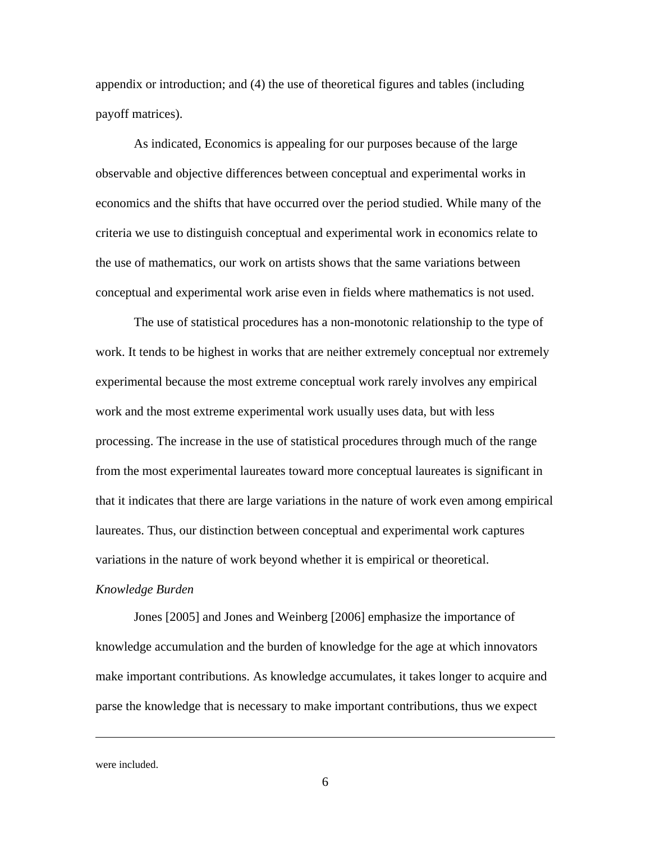appendix or introduction; and (4) the use of theoretical figures and tables (including payoff matrices).

As indicated, Economics is appealing for our purposes because of the large observable and objective differences between conceptual and experimental works in economics and the shifts that have occurred over the period studied. While many of the criteria we use to distinguish conceptual and experimental work in economics relate to the use of mathematics, our work on artists shows that the same variations between conceptual and experimental work arise even in fields where mathematics is not used.

The use of statistical procedures has a non-monotonic relationship to the type of work. It tends to be highest in works that are neither extremely conceptual nor extremely experimental because the most extreme conceptual work rarely involves any empirical work and the most extreme experimental work usually uses data, but with less processing. The increase in the use of statistical procedures through much of the range from the most experimental laureates toward more conceptual laureates is significant in that it indicates that there are large variations in the nature of work even among empirical laureates. Thus, our distinction between conceptual and experimental work captures variations in the nature of work beyond whether it is empirical or theoretical.

## *Knowledge Burden*

Jones [2005] and Jones and Weinberg [2006] emphasize the importance of knowledge accumulation and the burden of knowledge for the age at which innovators make important contributions. As knowledge accumulates, it takes longer to acquire and parse the knowledge that is necessary to make important contributions, thus we expect

were included.

 $\overline{a}$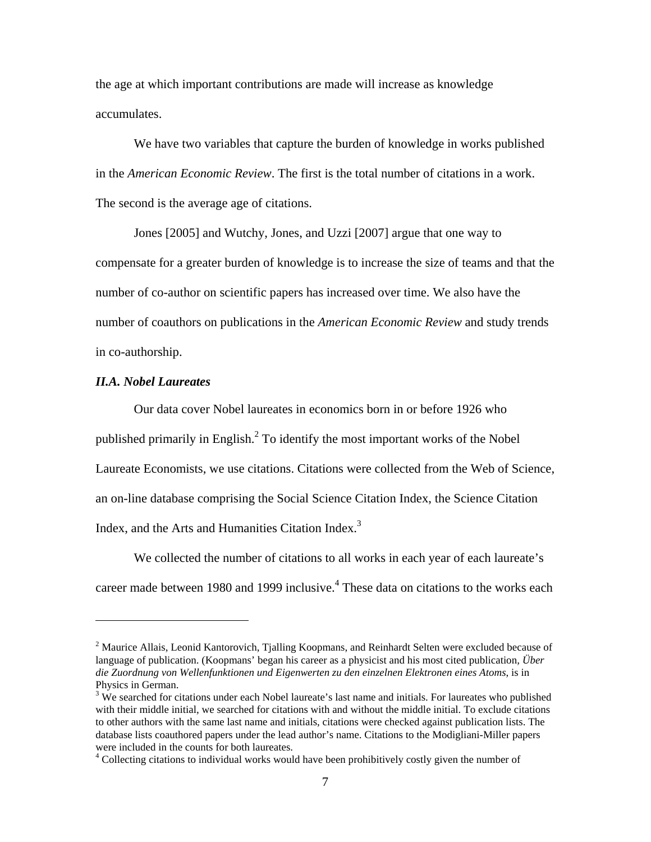the age at which important contributions are made will increase as knowledge accumulates.

We have two variables that capture the burden of knowledge in works published in the *American Economic Review*. The first is the total number of citations in a work. The second is the average age of citations.

Jones [2005] and Wutchy, Jones, and Uzzi [2007] argue that one way to compensate for a greater burden of knowledge is to increase the size of teams and that the number of co-author on scientific papers has increased over time. We also have the number of coauthors on publications in the *American Economic Review* and study trends in co-authorship.

## *II.A. Nobel Laureates*

 $\overline{a}$ 

Our data cover Nobel laureates in economics born in or before 1926 who published primarily in English.<sup>2</sup> To identify the most important works of the Nobel Laureate Economists, we use citations. Citations were collected from the Web of Science, an on-line database comprising the Social Science Citation Index, the Science Citation Index, and the Arts and Humanities Citation Index.<sup>3</sup>

We collected the number of citations to all works in each year of each laureate's career made between 1980 and 1999 inclusive.<sup>4</sup> These data on citations to the works each

<sup>&</sup>lt;sup>2</sup> Maurice Allais, Leonid Kantorovich, Tjalling Koopmans, and Reinhardt Selten were excluded because of language of publication. (Koopmans' began his career as a physicist and his most cited publication*, Über die Zuordnung von Wellenfunktionen und Eigenwerten zu den einzelnen Elektronen eines Atoms*, is in Physics in German.

 $3$  We searched for citations under each Nobel laureate's last name and initials. For laureates who published with their middle initial, we searched for citations with and without the middle initial. To exclude citations to other authors with the same last name and initials, citations were checked against publication lists. The database lists coauthored papers under the lead author's name. Citations to the Modigliani-Miller papers were included in the counts for both laureates.

<sup>&</sup>lt;sup>4</sup> Collecting citations to individual works would have been prohibitively costly given the number of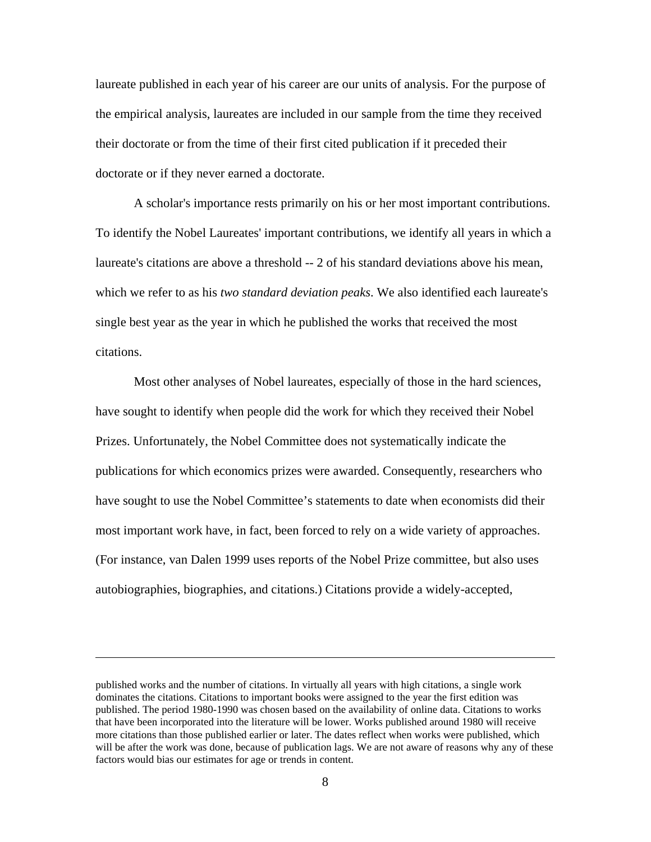laureate published in each year of his career are our units of analysis. For the purpose of the empirical analysis, laureates are included in our sample from the time they received their doctorate or from the time of their first cited publication if it preceded their doctorate or if they never earned a doctorate.

A scholar's importance rests primarily on his or her most important contributions. To identify the Nobel Laureates' important contributions, we identify all years in which a laureate's citations are above a threshold -- 2 of his standard deviations above his mean, which we refer to as his *two standard deviation peaks*. We also identified each laureate's single best year as the year in which he published the works that received the most citations.

Most other analyses of Nobel laureates, especially of those in the hard sciences, have sought to identify when people did the work for which they received their Nobel Prizes. Unfortunately, the Nobel Committee does not systematically indicate the publications for which economics prizes were awarded. Consequently, researchers who have sought to use the Nobel Committee's statements to date when economists did their most important work have, in fact, been forced to rely on a wide variety of approaches. (For instance, van Dalen 1999 uses reports of the Nobel Prize committee, but also uses autobiographies, biographies, and citations.) Citations provide a widely-accepted,

 $\overline{a}$ 

published works and the number of citations. In virtually all years with high citations, a single work dominates the citations. Citations to important books were assigned to the year the first edition was published. The period 1980-1990 was chosen based on the availability of online data. Citations to works that have been incorporated into the literature will be lower. Works published around 1980 will receive more citations than those published earlier or later. The dates reflect when works were published, which will be after the work was done, because of publication lags. We are not aware of reasons why any of these factors would bias our estimates for age or trends in content.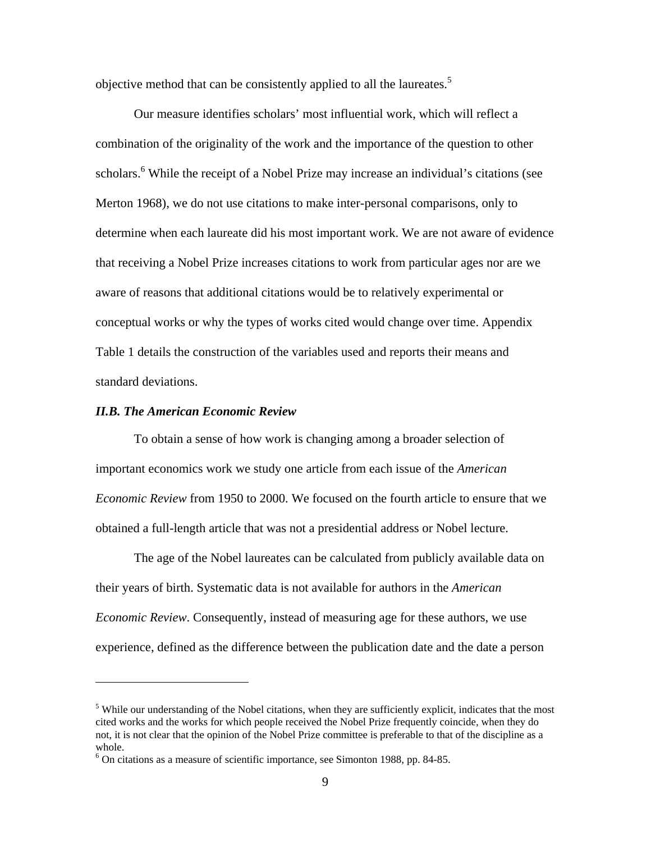objective method that can be consistently applied to all the laureates.<sup>5</sup>

Our measure identifies scholars' most influential work, which will reflect a combination of the originality of the work and the importance of the question to other scholars.<sup>6</sup> While the receipt of a Nobel Prize may increase an individual's citations (see Merton 1968), we do not use citations to make inter-personal comparisons, only to determine when each laureate did his most important work. We are not aware of evidence that receiving a Nobel Prize increases citations to work from particular ages nor are we aware of reasons that additional citations would be to relatively experimental or conceptual works or why the types of works cited would change over time. Appendix Table 1 details the construction of the variables used and reports their means and standard deviations.

## *II.B. The American Economic Review*

 $\overline{a}$ 

To obtain a sense of how work is changing among a broader selection of important economics work we study one article from each issue of the *American Economic Review* from 1950 to 2000. We focused on the fourth article to ensure that we obtained a full-length article that was not a presidential address or Nobel lecture.

The age of the Nobel laureates can be calculated from publicly available data on their years of birth. Systematic data is not available for authors in the *American Economic Review*. Consequently, instead of measuring age for these authors, we use experience, defined as the difference between the publication date and the date a person

<sup>&</sup>lt;sup>5</sup> While our understanding of the Nobel citations, when they are sufficiently explicit, indicates that the most cited works and the works for which people received the Nobel Prize frequently coincide, when they do not, it is not clear that the opinion of the Nobel Prize committee is preferable to that of the discipline as a whole.

<sup>6</sup> On citations as a measure of scientific importance, see Simonton 1988, pp. 84-85.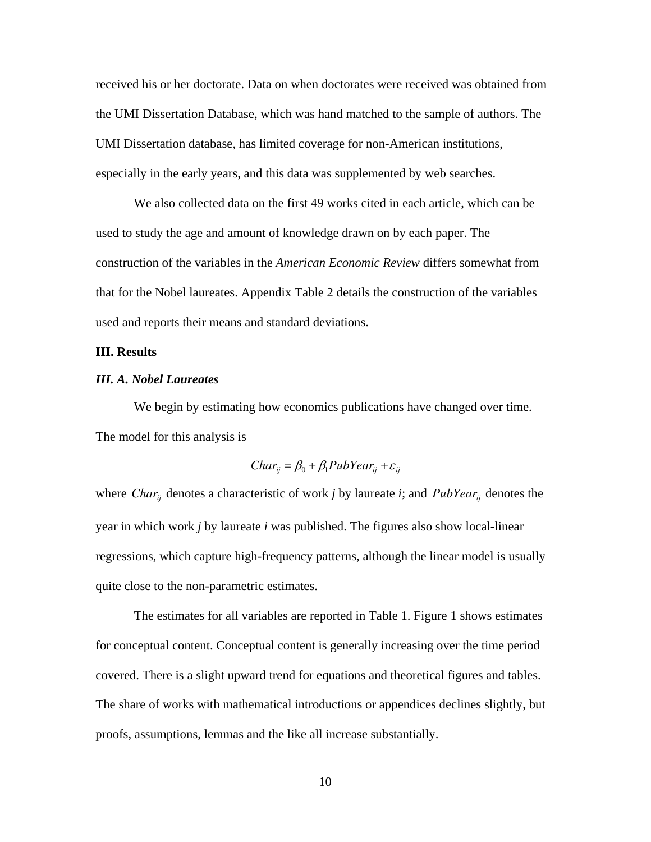received his or her doctorate. Data on when doctorates were received was obtained from the UMI Dissertation Database, which was hand matched to the sample of authors. The UMI Dissertation database, has limited coverage for non-American institutions, especially in the early years, and this data was supplemented by web searches.

We also collected data on the first 49 works cited in each article, which can be used to study the age and amount of knowledge drawn on by each paper. The construction of the variables in the *American Economic Review* differs somewhat from that for the Nobel laureates. Appendix Table 2 details the construction of the variables used and reports their means and standard deviations.

# **III. Results**

## *III. A. Nobel Laureates*

We begin by estimating how economics publications have changed over time. The model for this analysis is

$$
Char_{ij} = \beta_0 + \beta_1 PubYear_{ij} + \varepsilon_{ij}
$$

where *Char<sub>ij</sub>* denotes a characteristic of work *j* by laureate *i*; and *PubYear<sub>ij</sub>* denotes the year in which work *j* by laureate *i* was published. The figures also show local-linear regressions, which capture high-frequency patterns, although the linear model is usually quite close to the non-parametric estimates.

The estimates for all variables are reported in Table 1. Figure 1 shows estimates for conceptual content. Conceptual content is generally increasing over the time period covered. There is a slight upward trend for equations and theoretical figures and tables. The share of works with mathematical introductions or appendices declines slightly, but proofs, assumptions, lemmas and the like all increase substantially.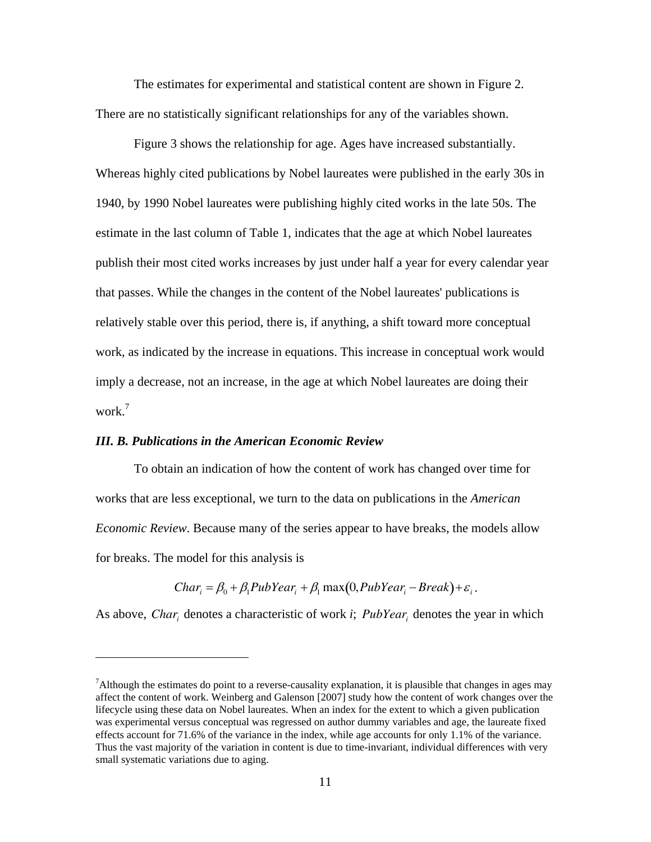The estimates for experimental and statistical content are shown in Figure 2. There are no statistically significant relationships for any of the variables shown.

Figure 3 shows the relationship for age. Ages have increased substantially. Whereas highly cited publications by Nobel laureates were published in the early 30s in 1940, by 1990 Nobel laureates were publishing highly cited works in the late 50s. The estimate in the last column of Table 1, indicates that the age at which Nobel laureates publish their most cited works increases by just under half a year for every calendar year that passes. While the changes in the content of the Nobel laureates' publications is relatively stable over this period, there is, if anything, a shift toward more conceptual work, as indicated by the increase in equations. This increase in conceptual work would imply a decrease, not an increase, in the age at which Nobel laureates are doing their work.<sup>7</sup>

#### *III. B. Publications in the American Economic Review*

 $\overline{a}$ 

To obtain an indication of how the content of work has changed over time for works that are less exceptional, we turn to the data on publications in the *American Economic Review*. Because many of the series appear to have breaks, the models allow for breaks. The model for this analysis is

 $Char_i = \beta_0 + \beta_1 PubYear_i + \beta_1 max(0, PubYear_i - Break) + \varepsilon_i$ .

As above, *Chari* denotes a characteristic of work *i*; *PubYeari* denotes the year in which

<sup>&</sup>lt;sup>7</sup>Although the estimates do point to a reverse-causality explanation, it is plausible that changes in ages may affect the content of work. Weinberg and Galenson [2007] study how the content of work changes over the lifecycle using these data on Nobel laureates. When an index for the extent to which a given publication was experimental versus conceptual was regressed on author dummy variables and age, the laureate fixed effects account for 71.6% of the variance in the index, while age accounts for only 1.1% of the variance. Thus the vast majority of the variation in content is due to time-invariant, individual differences with very small systematic variations due to aging.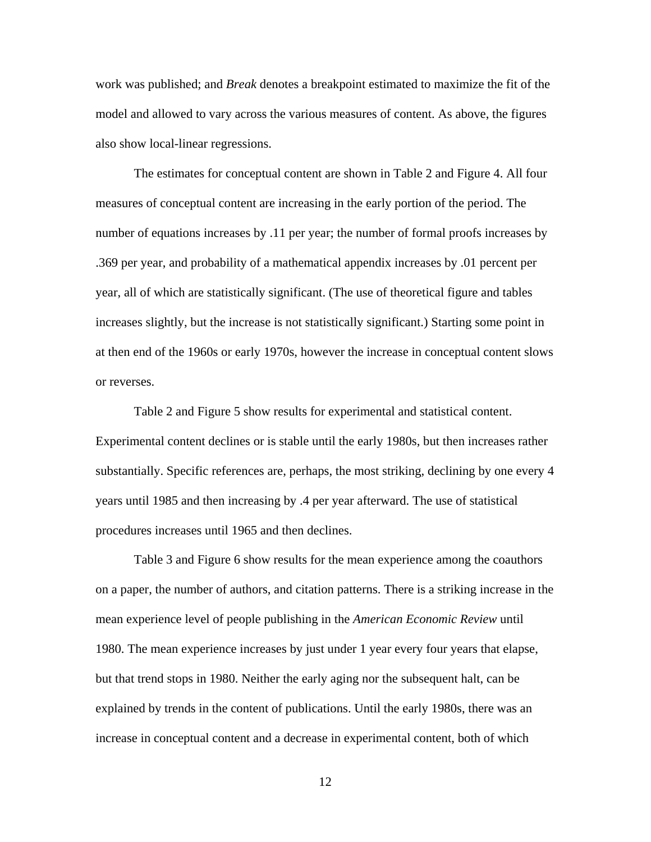work was published; and *Break* denotes a breakpoint estimated to maximize the fit of the model and allowed to vary across the various measures of content. As above, the figures also show local-linear regressions.

The estimates for conceptual content are shown in Table 2 and Figure 4. All four measures of conceptual content are increasing in the early portion of the period. The number of equations increases by .11 per year; the number of formal proofs increases by .369 per year, and probability of a mathematical appendix increases by .01 percent per year, all of which are statistically significant. (The use of theoretical figure and tables increases slightly, but the increase is not statistically significant.) Starting some point in at then end of the 1960s or early 1970s, however the increase in conceptual content slows or reverses.

Table 2 and Figure 5 show results for experimental and statistical content. Experimental content declines or is stable until the early 1980s, but then increases rather substantially. Specific references are, perhaps, the most striking, declining by one every 4 years until 1985 and then increasing by .4 per year afterward. The use of statistical procedures increases until 1965 and then declines.

Table 3 and Figure 6 show results for the mean experience among the coauthors on a paper, the number of authors, and citation patterns. There is a striking increase in the mean experience level of people publishing in the *American Economic Review* until 1980. The mean experience increases by just under 1 year every four years that elapse, but that trend stops in 1980. Neither the early aging nor the subsequent halt, can be explained by trends in the content of publications. Until the early 1980s, there was an increase in conceptual content and a decrease in experimental content, both of which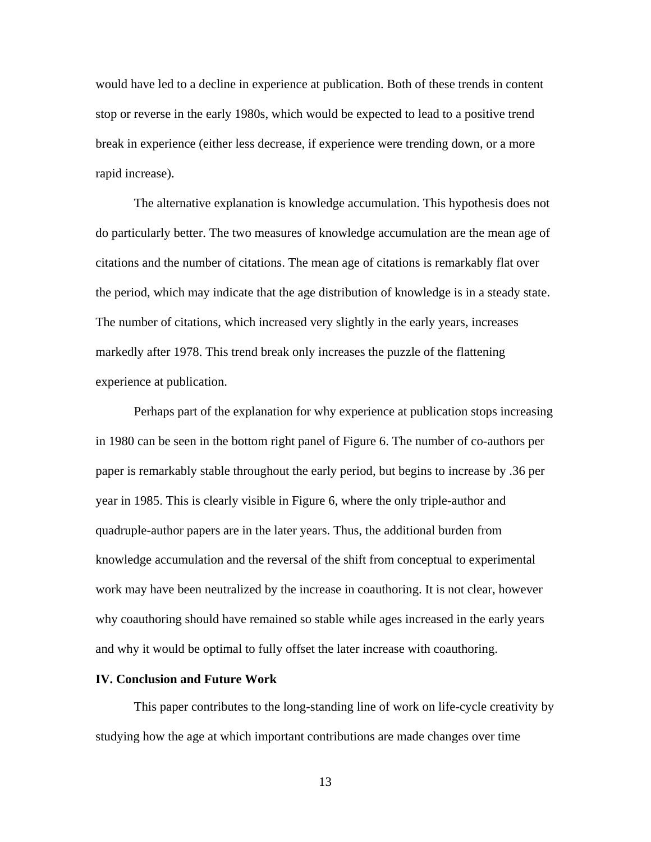would have led to a decline in experience at publication. Both of these trends in content stop or reverse in the early 1980s, which would be expected to lead to a positive trend break in experience (either less decrease, if experience were trending down, or a more rapid increase).

The alternative explanation is knowledge accumulation. This hypothesis does not do particularly better. The two measures of knowledge accumulation are the mean age of citations and the number of citations. The mean age of citations is remarkably flat over the period, which may indicate that the age distribution of knowledge is in a steady state. The number of citations, which increased very slightly in the early years, increases markedly after 1978. This trend break only increases the puzzle of the flattening experience at publication.

Perhaps part of the explanation for why experience at publication stops increasing in 1980 can be seen in the bottom right panel of Figure 6. The number of co-authors per paper is remarkably stable throughout the early period, but begins to increase by .36 per year in 1985. This is clearly visible in Figure 6, where the only triple-author and quadruple-author papers are in the later years. Thus, the additional burden from knowledge accumulation and the reversal of the shift from conceptual to experimental work may have been neutralized by the increase in coauthoring. It is not clear, however why coauthoring should have remained so stable while ages increased in the early years and why it would be optimal to fully offset the later increase with coauthoring.

# **IV. Conclusion and Future Work**

This paper contributes to the long-standing line of work on life-cycle creativity by studying how the age at which important contributions are made changes over time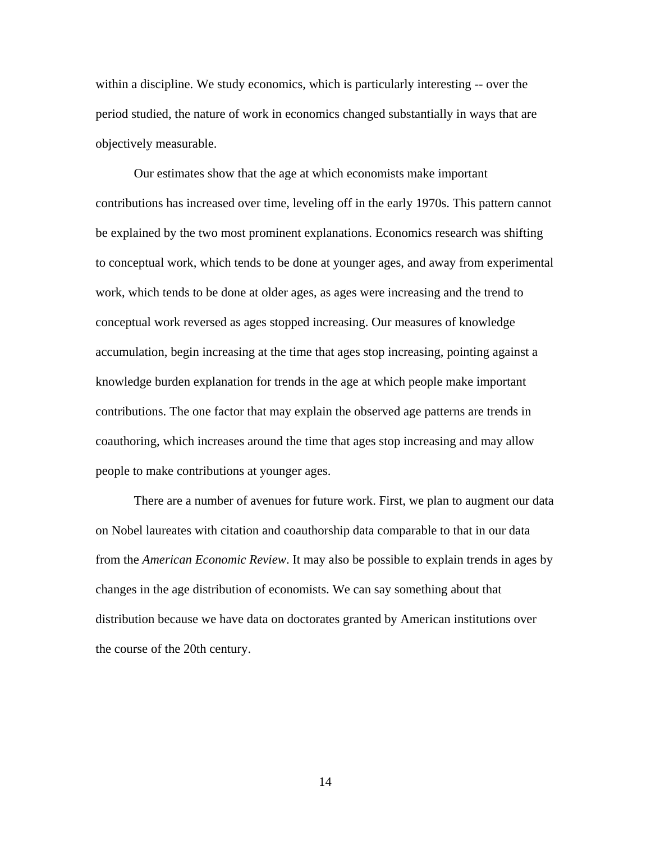within a discipline. We study economics, which is particularly interesting -- over the period studied, the nature of work in economics changed substantially in ways that are objectively measurable.

Our estimates show that the age at which economists make important contributions has increased over time, leveling off in the early 1970s. This pattern cannot be explained by the two most prominent explanations. Economics research was shifting to conceptual work, which tends to be done at younger ages, and away from experimental work, which tends to be done at older ages, as ages were increasing and the trend to conceptual work reversed as ages stopped increasing. Our measures of knowledge accumulation, begin increasing at the time that ages stop increasing, pointing against a knowledge burden explanation for trends in the age at which people make important contributions. The one factor that may explain the observed age patterns are trends in coauthoring, which increases around the time that ages stop increasing and may allow people to make contributions at younger ages.

There are a number of avenues for future work. First, we plan to augment our data on Nobel laureates with citation and coauthorship data comparable to that in our data from the *American Economic Review*. It may also be possible to explain trends in ages by changes in the age distribution of economists. We can say something about that distribution because we have data on doctorates granted by American institutions over the course of the 20th century.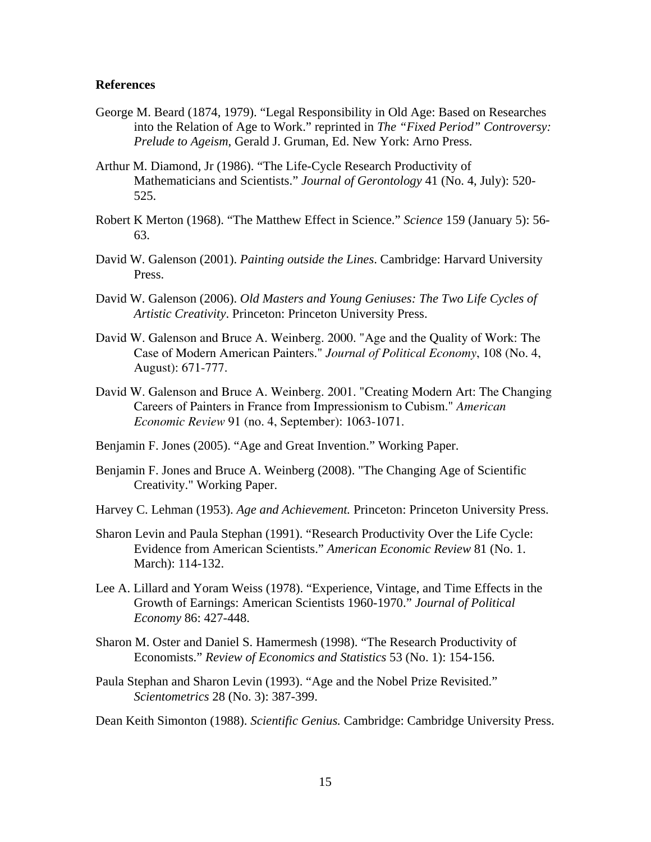#### **References**

- George M. Beard (1874, 1979). "Legal Responsibility in Old Age: Based on Researches into the Relation of Age to Work." reprinted in *The "Fixed Period" Controversy: Prelude to Ageism*, Gerald J. Gruman, Ed. New York: Arno Press.
- Arthur M. Diamond, Jr (1986). "The Life-Cycle Research Productivity of Mathematicians and Scientists." *Journal of Gerontology* 41 (No. 4, July): 520- 525.
- Robert K Merton (1968). "The Matthew Effect in Science." *Science* 159 (January 5): 56- 63.
- David W. Galenson (2001). *Painting outside the Lines*. Cambridge: Harvard University Press.
- David W. Galenson (2006). *Old Masters and Young Geniuses: The Two Life Cycles of Artistic Creativity*. Princeton: Princeton University Press.
- David W. Galenson and Bruce A. Weinberg. 2000. "Age and the Quality of Work: The Case of Modern American Painters." *Journal of Political Economy*, 108 (No. 4, August): 671-777.
- David W. Galenson and Bruce A. Weinberg. 2001. "Creating Modern Art: The Changing Careers of Painters in France from Impressionism to Cubism." *American Economic Review* 91 (no. 4, September): 1063-1071.
- Benjamin F. Jones (2005). "Age and Great Invention." Working Paper.
- Benjamin F. Jones and Bruce A. Weinberg (2008). "The Changing Age of Scientific Creativity." Working Paper.
- Harvey C. Lehman (1953). *Age and Achievement.* Princeton: Princeton University Press.
- Sharon Levin and Paula Stephan (1991). "Research Productivity Over the Life Cycle: Evidence from American Scientists." *American Economic Review* 81 (No. 1. March): 114-132.
- Lee A. Lillard and Yoram Weiss (1978). "Experience, Vintage, and Time Effects in the Growth of Earnings: American Scientists 1960-1970." *Journal of Political Economy* 86: 427-448.
- Sharon M. Oster and Daniel S. Hamermesh (1998). "The Research Productivity of Economists." *Review of Economics and Statistics* 53 (No. 1): 154-156.
- Paula Stephan and Sharon Levin (1993). "Age and the Nobel Prize Revisited." *Scientometrics* 28 (No. 3): 387-399.
- Dean Keith Simonton (1988). *Scientific Genius.* Cambridge: Cambridge University Press.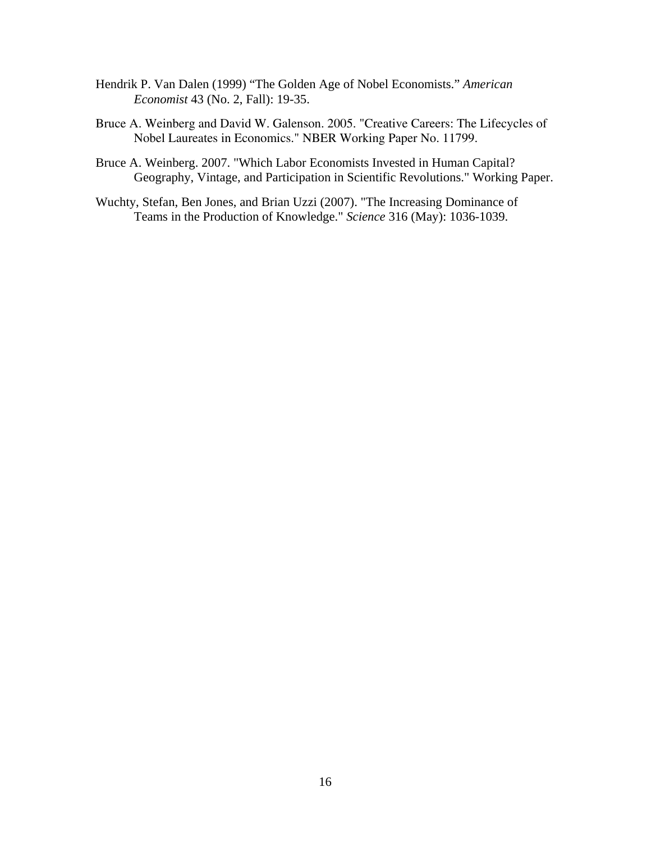- Hendrik P. Van Dalen (1999) "The Golden Age of Nobel Economists." *American Economist* 43 (No. 2, Fall): 19-35.
- Bruce A. Weinberg and David W. Galenson. 2005. "Creative Careers: The Lifecycles of Nobel Laureates in Economics." NBER Working Paper No. 11799.
- Bruce A. Weinberg. 2007. "Which Labor Economists Invested in Human Capital? Geography, Vintage, and Participation in Scientific Revolutions." Working Paper.
- Wuchty, Stefan, Ben Jones, and Brian Uzzi (2007). "The Increasing Dominance of Teams in the Production of Knowledge." *Science* 316 (May): 1036-1039.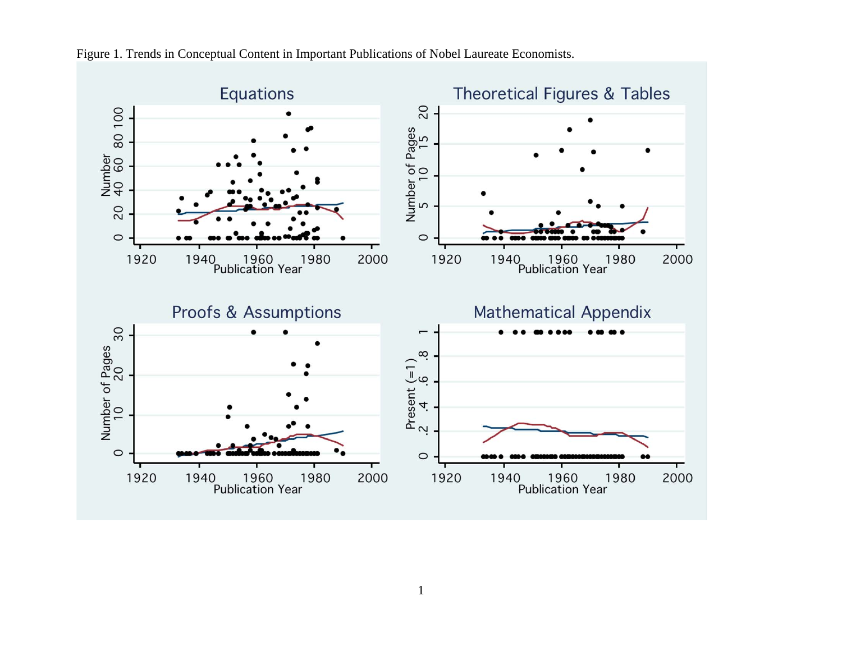

Figure 1. Trends in Conceptual Content in Important Publications of Nobel Laureate Economists.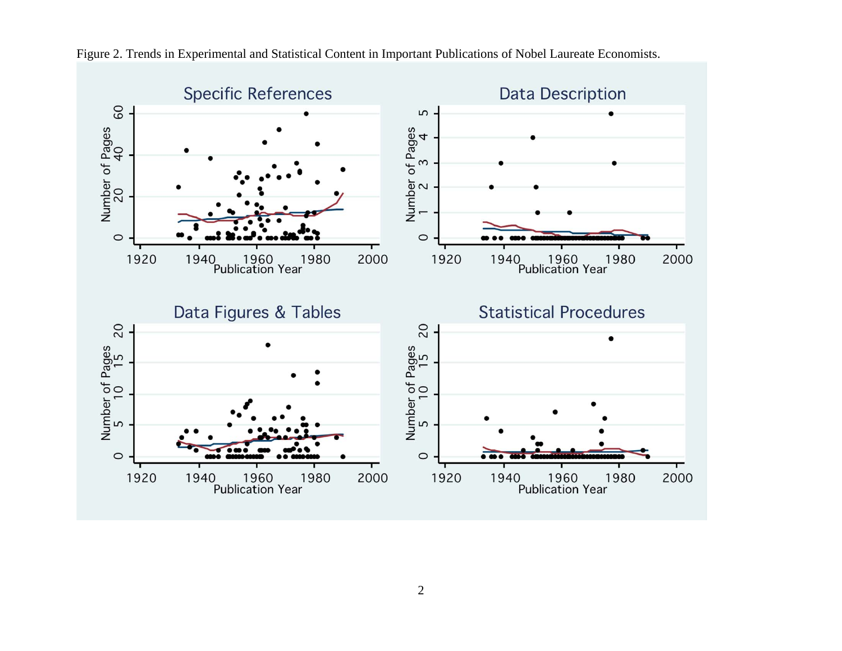

Figure 2. Trends in Experimental and Statistical Content in Important Publications of Nobel Laureate Economists.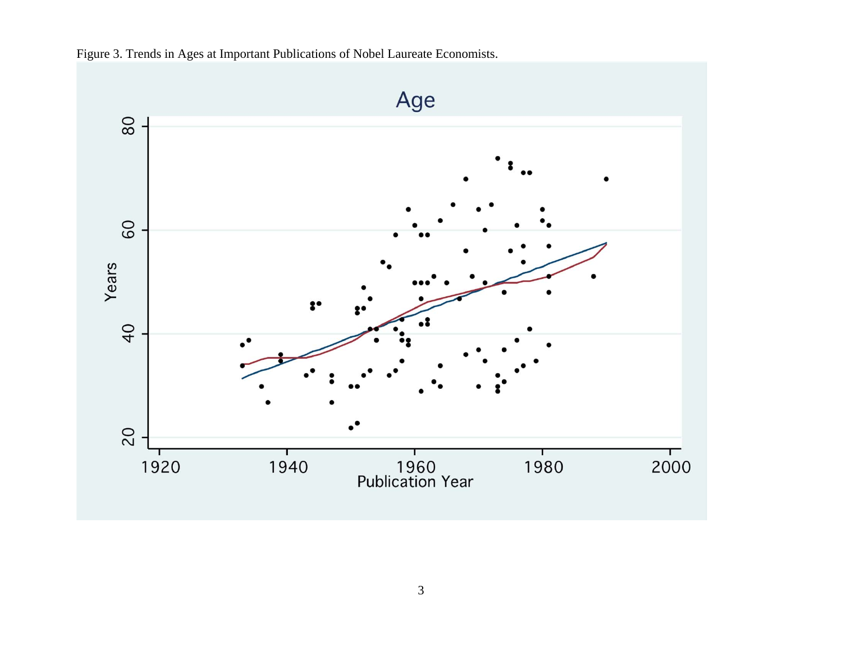

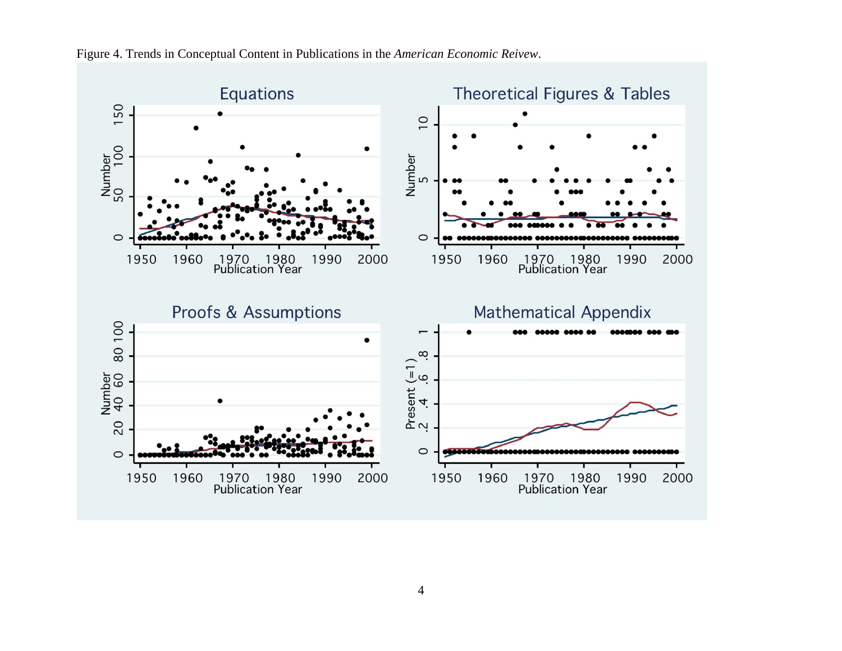

Figure 4. Trends in Conceptual Content in Publications in the *American Economic Reivew*.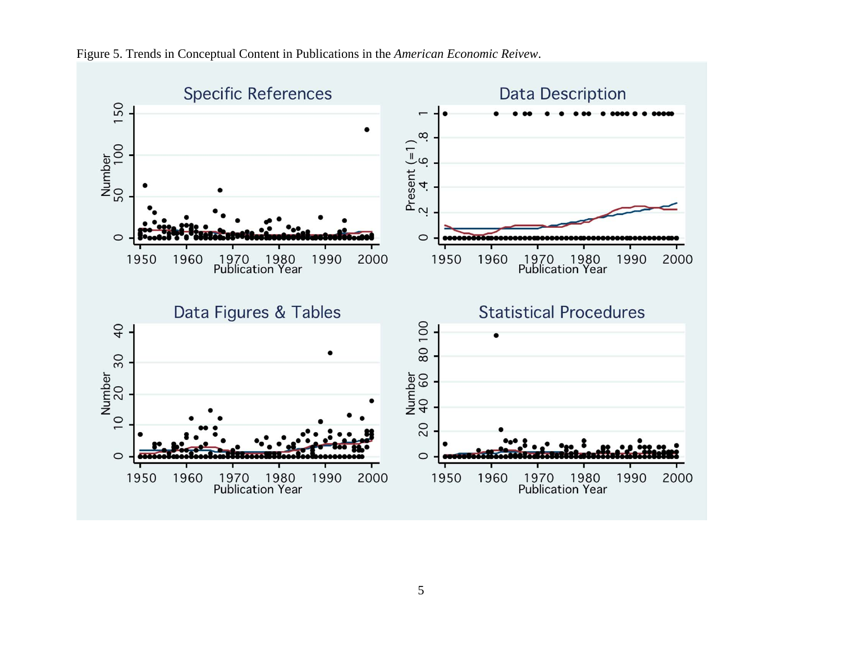

Figure 5. Trends in Conceptual Content in Publications in the *American Economic Reivew*.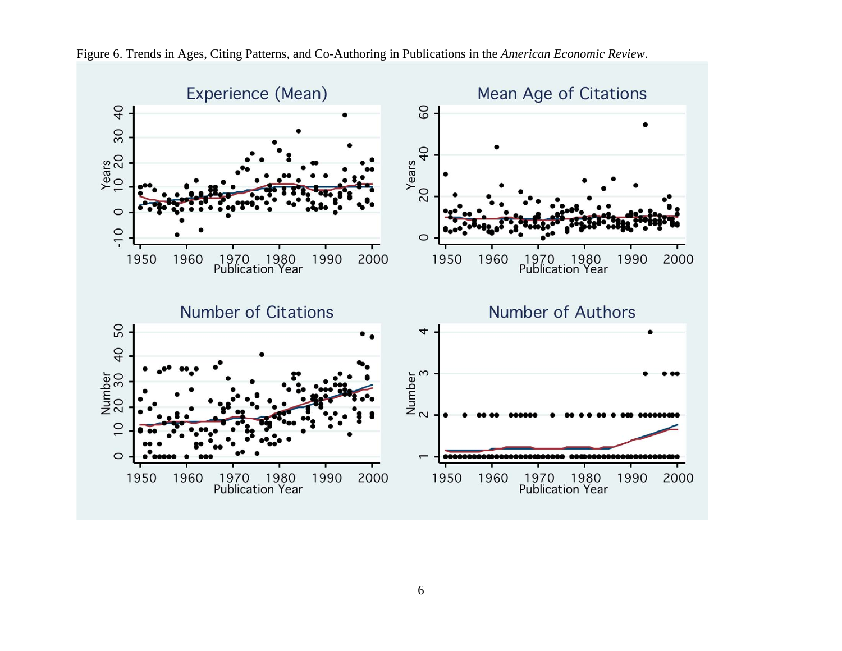

Figure 6. Trends in Ages, Citing Patterns, and Co-Authoring in Publications in the *American Economic Review*.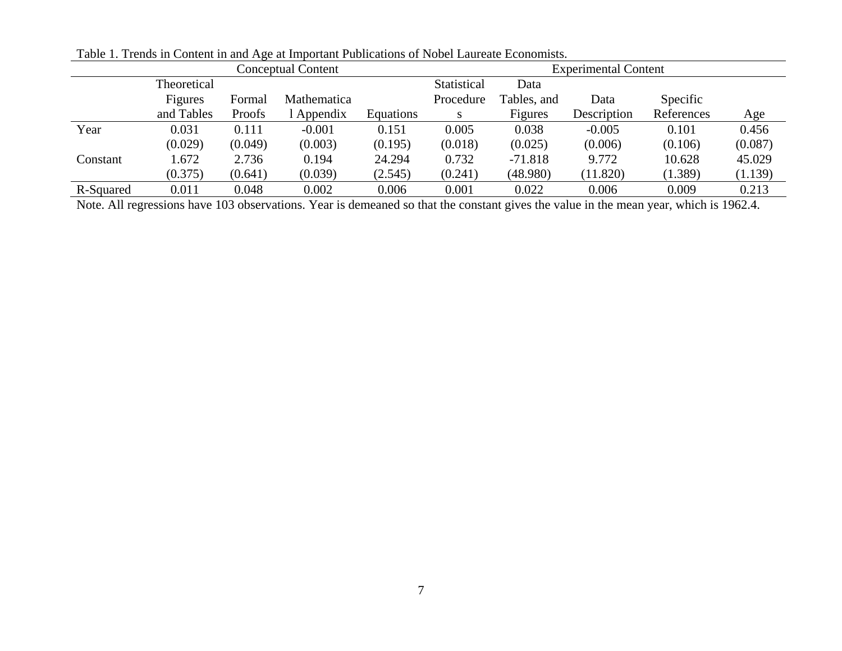| <b>Conceptual Content</b> |             |         |             | <b>Experimental Content</b> |             |             |             |            |         |
|---------------------------|-------------|---------|-------------|-----------------------------|-------------|-------------|-------------|------------|---------|
|                           | Theoretical |         |             |                             | Statistical | Data        |             |            |         |
|                           | Figures     | Formal  | Mathematica |                             | Procedure   | Tables, and | Data        | Specific   |         |
|                           | and Tables  | Proofs  | Appendix    | Equations                   | S           | Figures     | Description | References | Age     |
| Year                      | 0.031       | 0.111   | $-0.001$    | 0.151                       | 0.005       | 0.038       | $-0.005$    | 0.101      | 0.456   |
|                           | (0.029)     | (0.049) | (0.003)     | (0.195)                     | (0.018)     | (0.025)     | (0.006)     | (0.106)    | (0.087) |
| Constant                  | .672        | 2.736   | 0.194       | 24.294                      | 0.732       | $-71.818$   | 9.772       | 10.628     | 45.029  |
|                           | (0.375)     | (0.641) | (0.039)     | (2.545)                     | (0.241)     | (48.980)    | (11.820)    | (1.389)    | (1.139) |
| R-Squared                 | 0.011       | 0.048   | 0.002       | 0.006                       | 0.001       | 0.022       | 0.006       | 0.009      | 0.213   |

Table 1. Trends in Content in and Age at Important Publications of Nobel Laureate Economists.

Note. All regressions have 103 observations. Year is demeaned so that the constant gives the value in the mean year, which is 1962.4.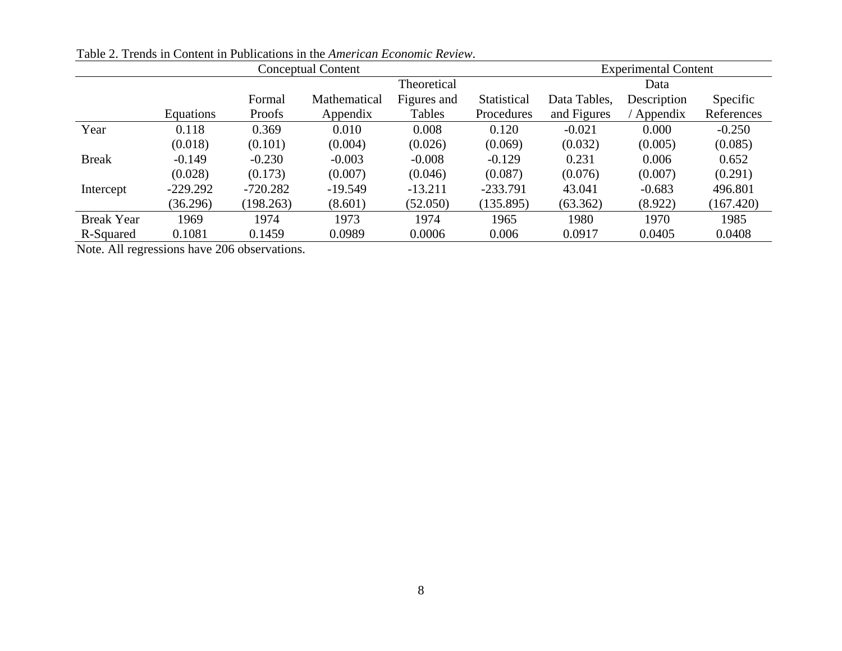| <b>Conceptual Content</b> |                  |            |              |             |             | <b>Experimental Content</b> |             |            |
|---------------------------|------------------|------------|--------------|-------------|-------------|-----------------------------|-------------|------------|
|                           | Theoretical      |            |              |             | Data        |                             |             |            |
|                           |                  | Formal     | Mathematical | Figures and | Statistical | Data Tables,                | Description | Specific   |
|                           | <b>Equations</b> | Proofs     | Appendix     | Tables      | Procedures  | and Figures                 | Appendix    | References |
| Year                      | 0.118            | 0.369      | 0.010        | 0.008       | 0.120       | $-0.021$                    | 0.000       | $-0.250$   |
|                           | (0.018)          | (0.101)    | (0.004)      | (0.026)     | (0.069)     | (0.032)                     | (0.005)     | (0.085)    |
| <b>Break</b>              | $-0.149$         | $-0.230$   | $-0.003$     | $-0.008$    | $-0.129$    | 0.231                       | 0.006       | 0.652      |
|                           | (0.028)          | (0.173)    | (0.007)      | (0.046)     | (0.087)     | (0.076)                     | (0.007)     | (0.291)    |
| Intercept                 | $-229.292$       | $-720.282$ | $-19.549$    | $-13.211$   | $-233.791$  | 43.041                      | $-0.683$    | 496.801    |
|                           | (36.296)         | (198.263)  | (8.601)      | (52.050)    | (135.895)   | (63.362)                    | (8.922)     | (167.420)  |
| <b>Break Year</b>         | 1969             | 1974       | 1973         | 1974        | 1965        | 1980                        | 1970        | 1985       |
| R-Squared                 | 0.1081           | 0.1459     | 0.0989       | 0.0006      | 0.006       | 0.0917                      | 0.0405      | 0.0408     |

Table 2. Trends in Content in Publications in the *American Economic Review*.

Note. All regressions have 206 observations.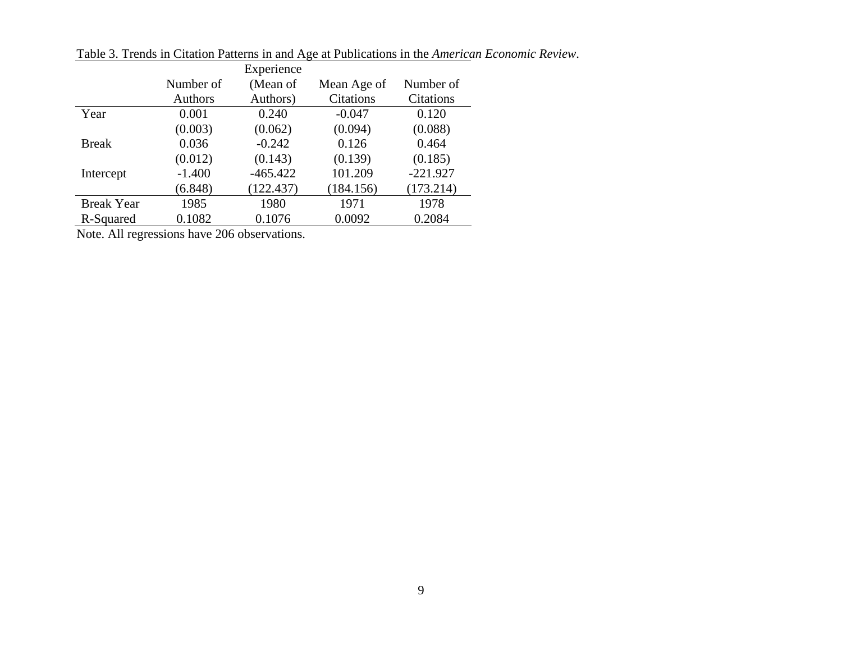|                   |           | Experience |             |            |
|-------------------|-----------|------------|-------------|------------|
|                   | Number of | (Mean of   | Mean Age of | Number of  |
|                   | Authors   | Authors)   | Citations   | Citations  |
| Year              | 0.001     | 0.240      | $-0.047$    | 0.120      |
|                   | (0.003)   | (0.062)    | (0.094)     | (0.088)    |
| <b>Break</b>      | 0.036     | $-0.242$   | 0.126       | 0.464      |
|                   | (0.012)   | (0.143)    | (0.139)     | (0.185)    |
| Intercept         | $-1.400$  | $-465.422$ | 101.209     | $-221.927$ |
|                   | (6.848)   | (122.437)  | (184.156)   | (173.214)  |
| <b>Break Year</b> | 1985      | 1980       | 1971        | 1978       |
| R-Squared         | 0.1082    | 0.1076     | 0.0092      | 0.2084     |

Table 3. Trends in Citation Patterns in and Age at Publications in the *American Economic Review*.

Note. All regressions have 206 observations.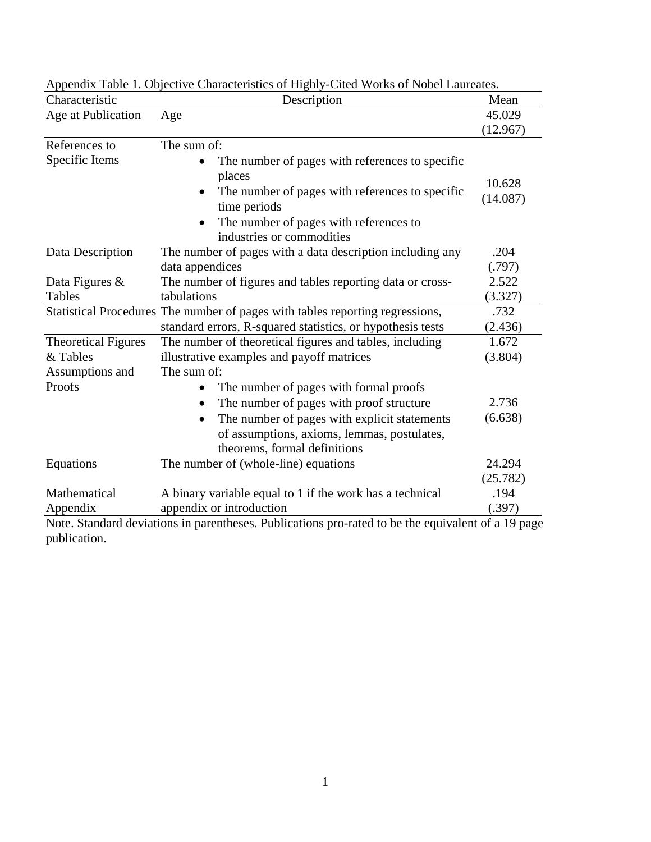| Characteristic             | Description                                                                                        | Mean     |
|----------------------------|----------------------------------------------------------------------------------------------------|----------|
| Age at Publication         | Age                                                                                                | 45.029   |
|                            |                                                                                                    | (12.967) |
| References to              | The sum of:                                                                                        |          |
| Specific Items             | The number of pages with references to specific                                                    |          |
|                            | places                                                                                             | 10.628   |
|                            | The number of pages with references to specific                                                    | (14.087) |
|                            | time periods                                                                                       |          |
|                            | The number of pages with references to<br>industries or commodities                                |          |
| Data Description           | The number of pages with a data description including any                                          | .204     |
|                            | data appendices                                                                                    | (.797)   |
| Data Figures &             | The number of figures and tables reporting data or cross-                                          | 2.522    |
| Tables                     | tabulations                                                                                        | (3.327)  |
|                            | Statistical Procedures The number of pages with tables reporting regressions,                      | .732     |
|                            | standard errors, R-squared statistics, or hypothesis tests                                         | (2.436)  |
| <b>Theoretical Figures</b> | The number of theoretical figures and tables, including                                            | 1.672    |
| & Tables                   | illustrative examples and payoff matrices                                                          | (3.804)  |
| Assumptions and            | The sum of:                                                                                        |          |
| Proofs                     | The number of pages with formal proofs                                                             |          |
|                            | The number of pages with proof structure<br>$\bullet$                                              | 2.736    |
|                            | The number of pages with explicit statements<br>$\bullet$                                          | (6.638)  |
|                            | of assumptions, axioms, lemmas, postulates,                                                        |          |
|                            | theorems, formal definitions                                                                       |          |
| Equations                  | The number of (whole-line) equations                                                               | 24.294   |
|                            |                                                                                                    | (25.782) |
| Mathematical               | A binary variable equal to 1 if the work has a technical                                           | .194     |
| Appendix                   | appendix or introduction                                                                           | (.397)   |
|                            | Note. Standard deviations in parentheses. Publications pro-rated to be the equivalent of a 19 page |          |

Appendix Table 1. Objective Characteristics of Highly-Cited Works of Nobel Laureates.

parentheses. Publications pro-rated to be the equivalent of a 19 page publication.